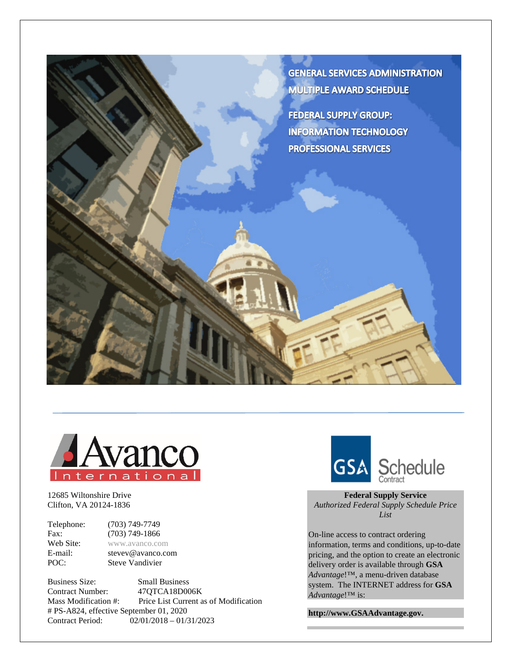



12685 Wiltonshire Drive Clifton, VA 20124-1836

Telephone: (703) 749-7749<br>Fax: (703) 749-1866 **Fax:** (703) 749-1866<br> **Web Site:** www.avanco.com Web Site: [www.avanco.com](http://www.avanco.com/)<br>E-mail: stevey@avanco.com stevev@avanco.com POC: Steve Vandivier

Business Size: Small Business Contract Number: 47QTCA18D006K<br>Mass Modification #: Price List Current a Price List Current as of Modification # PS-A824, effective September 01, 2020 Contract Period:02/01/2018 – 01/31/2023



**Federal Supply Service** *Authorized Federal Supply Schedule Price List*

On-line access to contract ordering information, terms and conditions, up-to-date pricing, and the option to create an electronic delivery order is available through **GSA** *Advantage*!™, a menu-driven database system. The INTERNET address for **GSA** *Advantage*!™ is:

**http://www.GSAAdvantage.gov.**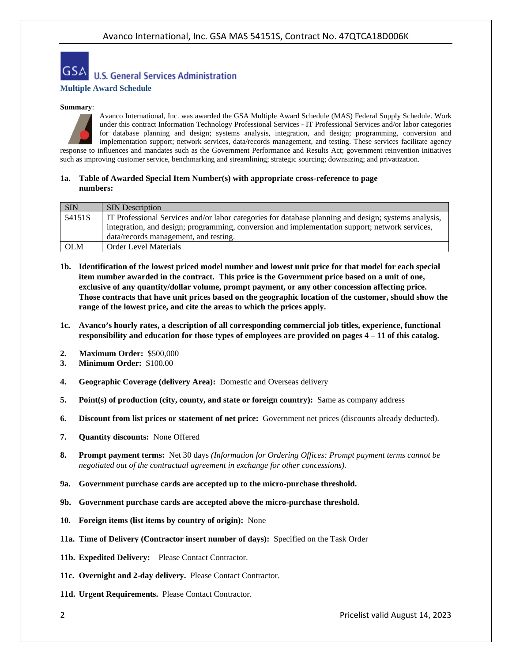

#### **Summary**:



Avanco International, Inc. was awarded the GSA Multiple Award Schedule (MAS) Federal Supply Schedule. Work under this contract Information Technology Professional Services - IT Professional Services and/or labor categories for database planning and design; systems analysis, integration, and design; programming, conversion and implementation support; network services, data/records management, and testing. These services facilitate agency response to influences and mandates such as the Government Performance and Results Act; government reinvention initiatives such as improving customer service, benchmarking and streamlining; strategic sourcing; downsizing; and privatization.

#### **1a. Table of Awarded Special Item Number(s) with appropriate cross-reference to page numbers:**

| <b>SIN</b> | <b>SIN</b> Description                                                                               |
|------------|------------------------------------------------------------------------------------------------------|
| 54151S     | IT Professional Services and/or labor categories for database planning and design; systems analysis, |
|            | integration, and design; programming, conversion and implementation support; network services,       |
|            | data/records management, and testing.                                                                |
| <b>OLM</b> | <b>Order Level Materials</b>                                                                         |

- **1b. Identification of the lowest priced model number and lowest unit price for that model for each special item number awarded in the contract. This price is the Government price based on a unit of one, exclusive of any quantity/dollar volume, prompt payment, or any other concession affecting price. Those contracts that have unit prices based on the geographic location of the customer, should show the range of the lowest price, and cite the areas to which the prices apply.**
- **1c. Avanco's hourly rates, a description of all corresponding commercial job titles, experience, functional responsibility and education for those types of employees are provided on pages 4 – 11 of this catalog.**
- **2. Maximum Order:** \$500,000
- **3. Minimum Order:** \$100.00
- **4. Geographic Coverage (delivery Area):** Domestic and Overseas delivery
- **5. Point(s) of production (city, county, and state or foreign country):** Same as company address
- **6. Discount from list prices or statement of net price:** Government net prices (discounts already deducted).
- **7. Quantity discounts:** None Offered
- **8. Prompt payment terms:** Net 30 days *(Information for Ordering Offices: Prompt payment terms cannot be negotiated out of the contractual agreement in exchange for other concessions).*
- **9a. Government purchase cards are accepted up to the micro-purchase threshold.**
- **9b. Government purchase cards are accepted above the micro-purchase threshold.**
- **10. Foreign items (list items by country of origin):** None
- **11a. Time of Delivery (Contractor insert number of days):** Specified on the Task Order
- **11b. Expedited Delivery:** Please Contact Contractor.
- **11c. Overnight and 2-day delivery.** Please Contact Contractor.
- 11d. Urgent Requirements. Please Contact Contractor.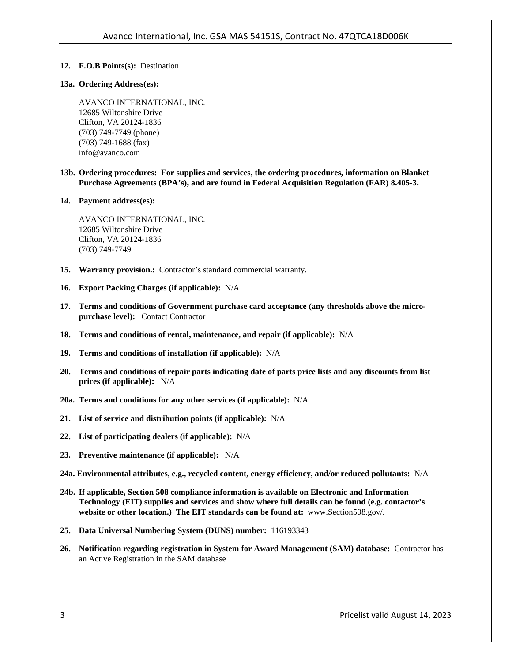# **12. F.O.B Points(s):** Destination

## **13a. Ordering Address(es):**

AVANCO INTERNATIONAL, INC. 12685 Wiltonshire Drive Clifton, VA 20124-1836 (703) 749-7749 (phone) (703) 749-1688 (fax) info@avanco.com

**13b. Ordering procedures: For supplies and services, the ordering procedures, information on Blanket Purchase Agreements (BPA's), and are found in Federal Acquisition Regulation (FAR) 8.405-3.** 

#### **14. Payment address(es):**

AVANCO INTERNATIONAL, INC. 12685 Wiltonshire Drive Clifton, VA 20124-1836 (703) 749-7749

- **15. Warranty provision.:** Contractor's standard commercial warranty.
- **16. Export Packing Charges (if applicable):** N/A
- **17. Terms and conditions of Government purchase card acceptance (any thresholds above the micropurchase level):** Contact Contractor
- **18. Terms and conditions of rental, maintenance, and repair (if applicable):** N/A
- **19. Terms and conditions of installation (if applicable):** N/A
- **20. Terms and conditions of repair parts indicating date of parts price lists and any discounts from list prices (if applicable):** N/A
- **20a. Terms and conditions for any other services (if applicable):** N/A
- **21. List of service and distribution points (if applicable):** N/A
- **22. List of participating dealers (if applicable):** N/A
- **23. Preventive maintenance (if applicable):** N/A
- **24a. Environmental attributes, e.g., recycled content, energy efficiency, and/or reduced pollutants:** N/A
- **24b. If applicable, Section 508 compliance information is available on Electronic and Information Technology (EIT) supplies and services and show where full details can be found (e.g. contactor's website or other location.) The EIT standards can be found at:** www.Section508.gov/.
- **25. Data Universal Numbering System (DUNS) number:** 116193343
- **26. Notification regarding registration in System for Award Management (SAM) database:** Contractor has an Active Registration in the SAM database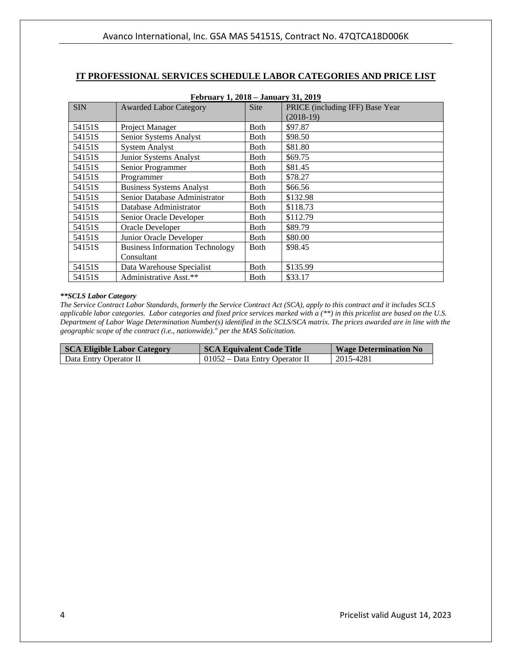# **IT PROFESSIONAL SERVICES SCHEDULE LABOR CATEGORIES AND PRICE LIST**

| February 1, 2018 – January 31, 2019 |                                        |             |                                 |  |
|-------------------------------------|----------------------------------------|-------------|---------------------------------|--|
| <b>SIN</b>                          | <b>Awarded Labor Category</b>          | <b>Site</b> | PRICE (including IFF) Base Year |  |
|                                     |                                        |             | $(2018-19)$                     |  |
| 54151S                              | Project Manager                        | Both        | \$97.87                         |  |
| 54151S                              | Senior Systems Analyst                 | Both        | \$98.50                         |  |
| 54151S                              | <b>System Analyst</b>                  | Both        | \$81.80                         |  |
| 54151S                              | Junior Systems Analyst                 | Both        | \$69.75                         |  |
| 54151S                              | Senior Programmer                      | Both        | \$81.45                         |  |
| 54151S                              | Programmer                             | Both        | \$78.27                         |  |
| 54151S                              | <b>Business Systems Analyst</b>        | <b>Both</b> | \$66.56                         |  |
| 54151S                              | Senior Database Administrator          | Both        | \$132.98                        |  |
| 54151S                              | Database Administrator                 | Both        | \$118.73                        |  |
| 54151S                              | Senior Oracle Developer                | <b>Both</b> | \$112.79                        |  |
| 54151S                              | Oracle Developer                       | <b>Both</b> | \$89.79                         |  |
| 54151S                              | Junior Oracle Developer                | <b>Both</b> | \$80.00                         |  |
| 54151S                              | <b>Business Information Technology</b> | <b>Both</b> | \$98.45                         |  |
|                                     | Consultant                             |             |                                 |  |
| 54151S                              | Data Warehouse Specialist              | Both        | \$135.99                        |  |
| 54151S                              | Administrative Asst.**                 | Both        | \$33.17                         |  |

# **February 1, 2018 – January 31, 2019**

#### *\*\*SCLS Labor Category*

| <b>SCA Eligible Labor Category</b> | <b>SCA Equivalent Code Title</b> | <b>Wage Determination No</b> |
|------------------------------------|----------------------------------|------------------------------|
| Data Entry Operator II             | 01052 – Data Entry Operator II   | 2015-4281                    |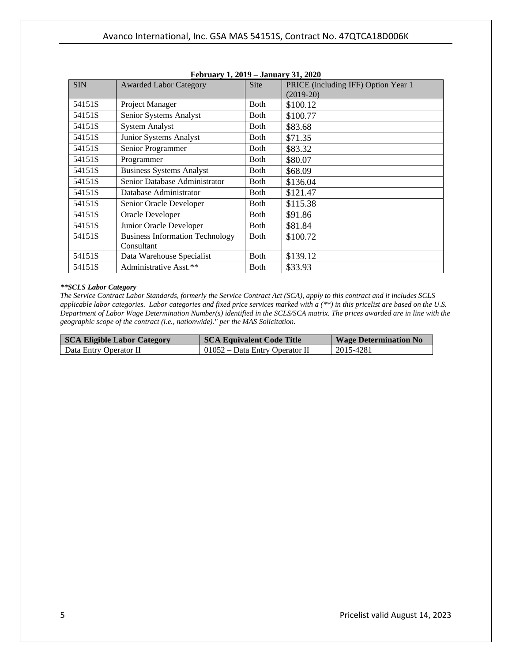|            | $\Gamma$ CDI uai y 1, 2012 – Januai y 31, 2020 |             |                                     |
|------------|------------------------------------------------|-------------|-------------------------------------|
| <b>SIN</b> | <b>Awarded Labor Category</b>                  | <b>Site</b> | PRICE (including IFF) Option Year 1 |
|            |                                                |             | $(2019-20)$                         |
| 54151S     | Project Manager                                | <b>Both</b> | \$100.12                            |
| 54151S     | Senior Systems Analyst                         | Both        | \$100.77                            |
| 54151S     | <b>System Analyst</b>                          | <b>Both</b> | \$83.68                             |
| 54151S     | Junior Systems Analyst                         | <b>Both</b> | \$71.35                             |
| 54151S     | Senior Programmer                              | <b>Both</b> | \$83.32                             |
| 54151S     | Programmer                                     | <b>Both</b> | \$80.07                             |
| 54151S     | <b>Business Systems Analyst</b>                | <b>Both</b> | \$68.09                             |
| 54151S     | Senior Database Administrator                  | <b>Both</b> | \$136.04                            |
| 54151S     | Database Administrator                         | <b>Both</b> | \$121.47                            |
| 54151S     | Senior Oracle Developer                        | <b>Both</b> | \$115.38                            |
| 54151S     | Oracle Developer                               | <b>Both</b> | \$91.86                             |
| 54151S     | Junior Oracle Developer                        | <b>Both</b> | \$81.84                             |
| 54151S     | <b>Business Information Technology</b>         | <b>Both</b> | \$100.72                            |
|            | Consultant                                     |             |                                     |
| 54151S     | Data Warehouse Specialist                      | <b>Both</b> | \$139.12                            |
| 54151S     | Administrative Asst.**                         | <b>Both</b> | \$33.93                             |

**February 1, 2019 – January 31, 2020**

#### *\*\*SCLS Labor Category*

| <b>SCA Eligible Labor Category</b> | <b>SCA Equivalent Code Title</b> | <b>Wage Determination No</b> |
|------------------------------------|----------------------------------|------------------------------|
| Data Entry Operator II             | $01052 - Data Entry Operator II$ | 2015-4281                    |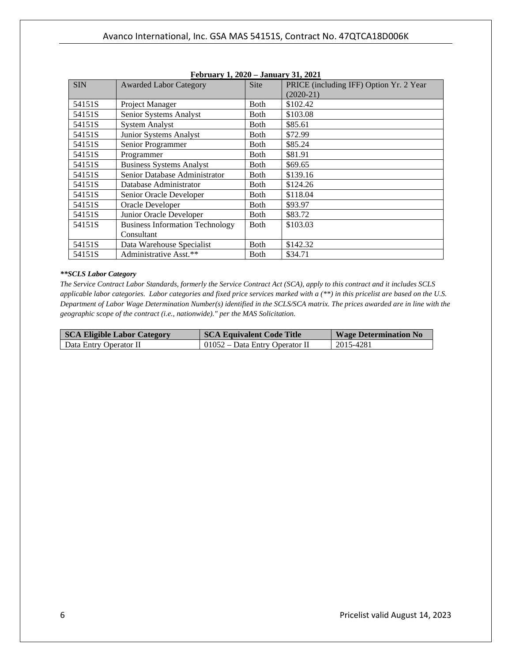|            | $1.001$ uai y $1.2020 - 3$ anuai y $31.2021$ |              |                                                        |
|------------|----------------------------------------------|--------------|--------------------------------------------------------|
| <b>SIN</b> | <b>Awarded Labor Category</b>                | <b>Site</b>  | PRICE (including IFF) Option Yr. 2 Year<br>$(2020-21)$ |
| 54151S     | Project Manager                              | <b>Both</b>  | \$102.42                                               |
| 54151S     | Senior Systems Analyst                       | <b>Both</b>  | \$103.08                                               |
| 54151S     | <b>System Analyst</b>                        | <b>Both</b>  | \$85.61                                                |
| 54151S     | Junior Systems Analyst                       | <b>Both</b>  | \$72.99                                                |
| 54151S     | Senior Programmer                            | <b>Both</b>  | \$85.24                                                |
| 54151S     | Programmer                                   | <b>Both</b>  | \$81.91                                                |
| 54151S     | <b>Business Systems Analyst</b>              | <b>Both</b>  | \$69.65                                                |
| 54151S     | Senior Database Administrator                | <b>Both</b>  | \$139.16                                               |
| 54151S     | Database Administrator                       | <b>Both</b>  | \$124.26                                               |
| 54151S     | Senior Oracle Developer                      | <b>Both</b>  | \$118.04                                               |
| 54151S     | Oracle Developer                             | <b>Both</b>  | \$93.97                                                |
| 54151S     | Junior Oracle Developer                      | <b>Both</b>  | \$83.72                                                |
| 54151S     | <b>Business Information Technology</b>       | <b>B</b> oth | \$103.03                                               |
|            | Consultant                                   |              |                                                        |
| 54151S     | Data Warehouse Specialist                    | <b>Both</b>  | \$142.32                                               |
| 54151S     | Administrative Asst.**                       | <b>Both</b>  | \$34.71                                                |

| February 1, 2020 – January 31, 2021 |
|-------------------------------------|
|-------------------------------------|

#### *\*\*SCLS Labor Category*

| <b>SCA Eligible Labor Category</b> | <b>SCA Equivalent Code Title</b> | <b>Wage Determination No.</b> |
|------------------------------------|----------------------------------|-------------------------------|
| Data Entry Operator II             | $01052 - Data Entry Operator II$ | 2015-4281                     |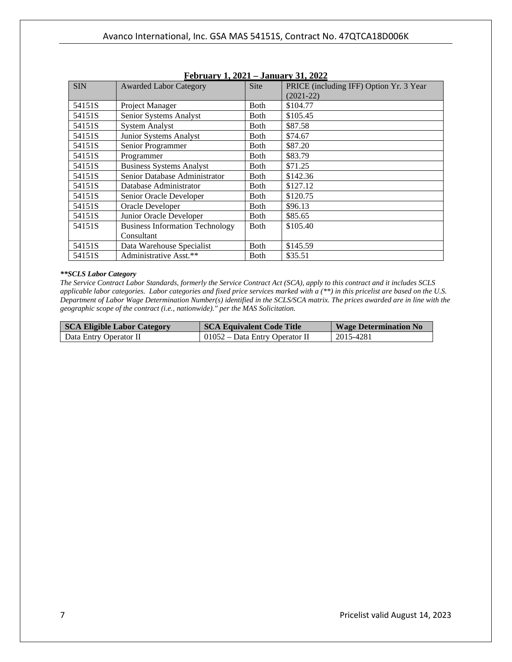|            | $1$ CDI dai y 1, 2021 – January J1, 2022 |              |                                                        |
|------------|------------------------------------------|--------------|--------------------------------------------------------|
| <b>SIN</b> | <b>Awarded Labor Category</b>            | <b>Site</b>  | PRICE (including IFF) Option Yr. 3 Year<br>$(2021-22)$ |
| 54151S     | Project Manager                          | <b>Both</b>  | \$104.77                                               |
| 54151S     | Senior Systems Analyst                   | <b>Both</b>  | \$105.45                                               |
| 54151S     | <b>System Analyst</b>                    | <b>Both</b>  | \$87.58                                                |
| 54151S     | Junior Systems Analyst                   | <b>Both</b>  | \$74.67                                                |
| 54151S     | Senior Programmer                        | <b>Both</b>  | \$87.20                                                |
| 54151S     | Programmer                               | <b>Both</b>  | \$83.79                                                |
| 54151S     | <b>Business Systems Analyst</b>          | Both         | \$71.25                                                |
| 54151S     | Senior Database Administrator            | <b>B</b> oth | \$142.36                                               |
| 54151S     | Database Administrator                   | Both         | \$127.12                                               |
| 54151S     | Senior Oracle Developer                  | Both         | \$120.75                                               |
| 54151S     | Oracle Developer                         | <b>Both</b>  | \$96.13                                                |
| 54151S     | Junior Oracle Developer                  | <b>Both</b>  | \$85.65                                                |
| 54151S     | <b>Business Information Technology</b>   | <b>B</b> oth | \$105.40                                               |
|            | Consultant                               |              |                                                        |
| 54151S     | Data Warehouse Specialist                | Both         | \$145.59                                               |
| 54151S     | Administrative Asst.**                   | <b>Both</b>  | \$35.51                                                |

# **February 1, 2021 – January 31, 2022**

#### *\*\*SCLS Labor Category*

| SCA Eligible Labor Category | <b>SCA Equivalent Code Title</b> | <b>Wage Determination No</b> |
|-----------------------------|----------------------------------|------------------------------|
| Data Entry Operator II      | 01052 – Data Entry Operator II   | 2015-4281                    |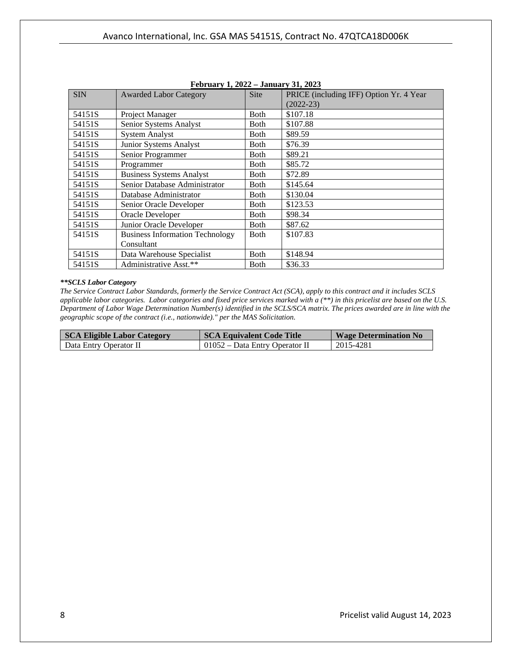| <b>Awarded Labor Category</b>          | <b>Site</b> | PRICE (including IFF) Option Yr. 4 Year |
|----------------------------------------|-------------|-----------------------------------------|
|                                        |             | $(2022 - 23)$                           |
| Project Manager                        | <b>Both</b> | \$107.18                                |
| Senior Systems Analyst                 | <b>Both</b> | \$107.88                                |
| <b>System Analyst</b>                  | Both        | \$89.59                                 |
| Junior Systems Analyst                 | Both        | \$76.39                                 |
| Senior Programmer                      | <b>Both</b> | \$89.21                                 |
| Programmer                             | <b>Both</b> | \$85.72                                 |
| <b>Business Systems Analyst</b>        | <b>Both</b> | \$72.89                                 |
| Senior Database Administrator          | <b>Both</b> | \$145.64                                |
| Database Administrator                 | <b>Both</b> | \$130.04                                |
| Senior Oracle Developer                | <b>Both</b> | \$123.53                                |
| Oracle Developer                       | <b>Both</b> | \$98.34                                 |
| Junior Oracle Developer                | <b>Both</b> | \$87.62                                 |
| <b>Business Information Technology</b> | Both        | \$107.83                                |
| Consultant                             |             |                                         |
| Data Warehouse Specialist              | <b>Both</b> | \$148.94                                |
| Administrative Asst.**                 | Both        | \$36.33                                 |
|                                        |             | Pedruary 1, 2022 – January 31, 2023     |

| February 1, 2022 – January 31, 2023 |  |  |  |  |  |
|-------------------------------------|--|--|--|--|--|
|-------------------------------------|--|--|--|--|--|

#### *\*\*SCLS Labor Category*

| <b>SCA Eligible Labor Category</b> | <b>SCA Equivalent Code Title</b>       | <b>Wage Determination No</b> |
|------------------------------------|----------------------------------------|------------------------------|
| Data Entry Operator II             | $\vert$ 01052 – Data Entry Operator II | 2015-4281                    |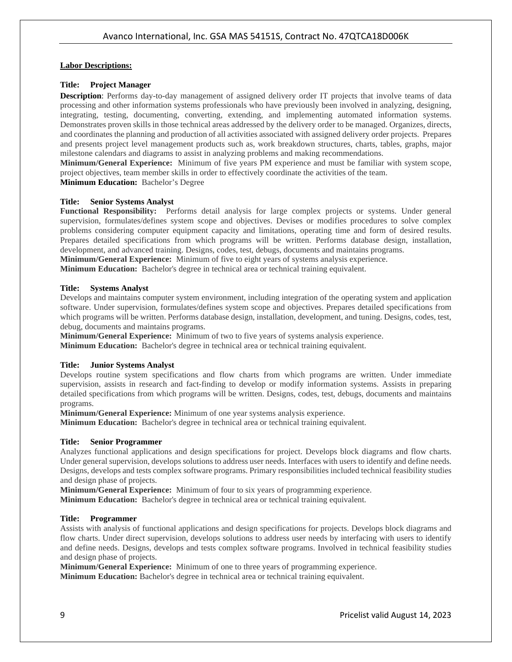### **Labor Descriptions:**

## **Title: Project Manager**

**Description**: Performs day-to-day management of assigned delivery order IT projects that involve teams of data processing and other information systems professionals who have previously been involved in analyzing, designing, integrating, testing, documenting, converting, extending, and implementing automated information systems. Demonstrates proven skills in those technical areas addressed by the delivery order to be managed. Organizes, directs, and coordinates the planning and production of all activities associated with assigned delivery order projects. Prepares and presents project level management products such as, work breakdown structures, charts, tables, graphs, major milestone calendars and diagrams to assist in analyzing problems and making recommendations.

**Minimum/General Experience:** Minimum of five years PM experience and must be familiar with system scope, project objectives, team member skills in order to effectively coordinate the activities of the team.

**Minimum Education:** Bachelor's Degree

# **Title: Senior Systems Analyst**

**Functional Responsibility:** Performs detail analysis for large complex projects or systems. Under general supervision, formulates/defines system scope and objectives. Devises or modifies procedures to solve complex problems considering computer equipment capacity and limitations, operating time and form of desired results. Prepares detailed specifications from which programs will be written. Performs database design, installation, development, and advanced training. Designs, codes, test, debugs, documents and maintains programs. **Minimum/General Experience:** Minimum of five to eight years of systems analysis experience.

**Minimum Education:** Bachelor's degree in technical area or technical training equivalent.

#### **Title: Systems Analyst**

Develops and maintains computer system environment, including integration of the operating system and application software. Under supervision, formulates/defines system scope and objectives. Prepares detailed specifications from which programs will be written. Performs database design, installation, development, and tuning. Designs, codes, test, debug, documents and maintains programs.

**Minimum/General Experience:** Minimum of two to five years of systems analysis experience.

**Minimum Education:** Bachelor's degree in technical area or technical training equivalent.

#### **Title: Junior Systems Analyst**

Develops routine system specifications and flow charts from which programs are written. Under immediate supervision, assists in research and fact-finding to develop or modify information systems. Assists in preparing detailed specifications from which programs will be written. Designs, codes, test, debugs, documents and maintains programs.

**Minimum/General Experience:** Minimum of one year systems analysis experience.

**Minimum Education:** Bachelor's degree in technical area or technical training equivalent.

#### **Title: Senior Programmer**

Analyzes functional applications and design specifications for project. Develops block diagrams and flow charts. Under general supervision, develops solutions to address user needs. Interfaces with users to identify and define needs. Designs, develops and tests complex software programs. Primary responsibilities included technical feasibility studies and design phase of projects.

**Minimum/General Experience:** Minimum of four to six years of programming experience.

**Minimum Education:** Bachelor's degree in technical area or technical training equivalent.

### **Title: Programmer**

Assists with analysis of functional applications and design specifications for projects. Develops block diagrams and flow charts. Under direct supervision, develops solutions to address user needs by interfacing with users to identify and define needs. Designs, develops and tests complex software programs. Involved in technical feasibility studies and design phase of projects.

**Minimum/General Experience:** Minimum of one to three years of programming experience. **Minimum Education:** Bachelor's degree in technical area or technical training equivalent.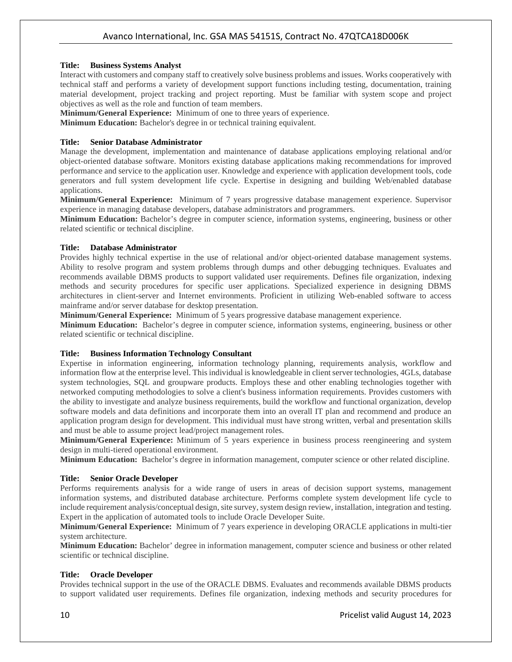### **Title: Business Systems Analyst**

Interact with customers and company staff to creatively solve business problems and issues. Works cooperatively with technical staff and performs a variety of development support functions including testing, documentation, training material development, project tracking and project reporting. Must be familiar with system scope and project objectives as well as the role and function of team members.

**Minimum/General Experience:** Minimum of one to three years of experience.

**Minimum Education:** Bachelor's degree in or technical training equivalent.

# **Title: Senior Database Administrator**

Manage the development, implementation and maintenance of database applications employing relational and/or object-oriented database software. Monitors existing database applications making recommendations for improved performance and service to the application user. Knowledge and experience with application development tools, code generators and full system development life cycle. Expertise in designing and building Web/enabled database applications.

**Minimum/General Experience:** Minimum of 7 years progressive database management experience. Supervisor experience in managing database developers, database administrators and programmers.

**Minimum Education:** Bachelor's degree in computer science, information systems, engineering, business or other related scientific or technical discipline.

# **Title: Database Administrator**

Provides highly technical expertise in the use of relational and/or object-oriented database management systems. Ability to resolve program and system problems through dumps and other debugging techniques. Evaluates and recommends available DBMS products to support validated user requirements. Defines file organization, indexing methods and security procedures for specific user applications. Specialized experience in designing DBMS architectures in client-server and Internet environments. Proficient in utilizing Web-enabled software to access mainframe and/or server database for desktop presentation.

**Minimum/General Experience:** Minimum of 5 years progressive database management experience.

**Minimum Education:** Bachelor's degree in computer science, information systems, engineering, business or other related scientific or technical discipline.

## **Title: Business Information Technology Consultant**

Expertise in information engineering, information technology planning, requirements analysis, workflow and information flow at the enterprise level. This individual is knowledgeable in client server technologies, 4GLs, database system technologies, SQL and groupware products. Employs these and other enabling technologies together with networked computing methodologies to solve a client's business information requirements. Provides customers with the ability to investigate and analyze business requirements, build the workflow and functional organization, develop software models and data definitions and incorporate them into an overall IT plan and recommend and produce an application program design for development. This individual must have strong written, verbal and presentation skills and must be able to assume project lead/project management roles.

**Minimum/General Experience:** Minimum of 5 years experience in business process reengineering and system design in multi-tiered operational environment.

**Minimum Education:** Bachelor's degree in information management, computer science or other related discipline.

# **Title: Senior Oracle Developer**

Performs requirements analysis for a wide range of users in areas of decision support systems, management information systems, and distributed database architecture. Performs complete system development life cycle to include requirement analysis/conceptual design, site survey, system design review, installation, integration and testing. Expert in the application of automated tools to include Oracle Developer Suite.

**Minimum/General Experience:** Minimum of 7 years experience in developing ORACLE applications in multi-tier system architecture.

**Minimum Education:** Bachelor' degree in information management, computer science and business or other related scientific or technical discipline.

# **Title: Oracle Developer**

Provides technical support in the use of the ORACLE DBMS. Evaluates and recommends available DBMS products to support validated user requirements. Defines file organization, indexing methods and security procedures for